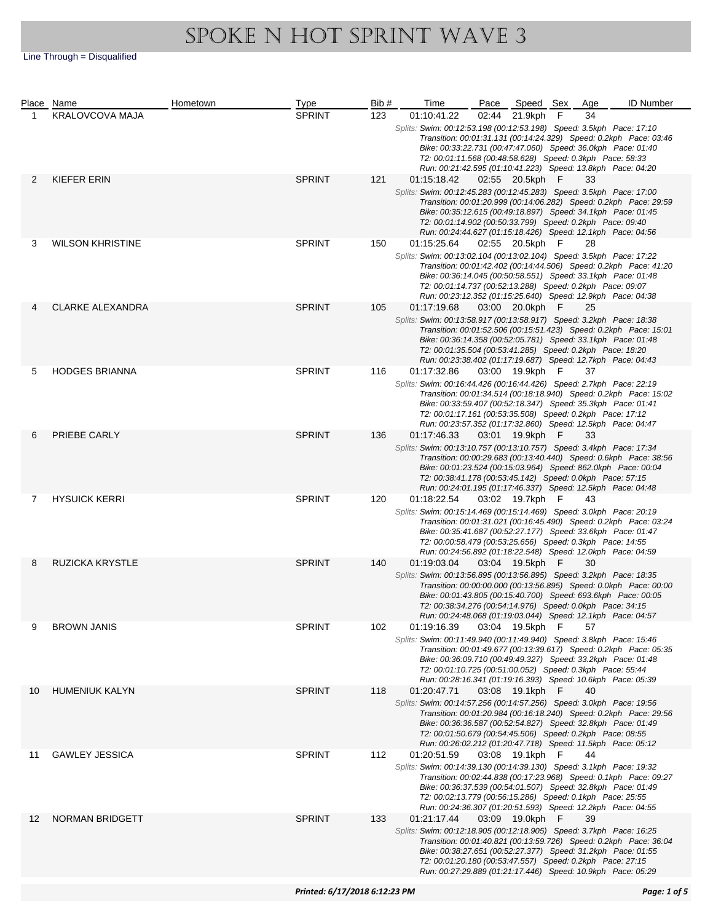|    | Place Name              | Hometown | Type                 | Bib#                                                                | Time                                                                                                                                        | Pace            | Speed Sex       |     | Age | <b>ID Number</b>                                                     |  |  |  |
|----|-------------------------|----------|----------------------|---------------------------------------------------------------------|---------------------------------------------------------------------------------------------------------------------------------------------|-----------------|-----------------|-----|-----|----------------------------------------------------------------------|--|--|--|
| 1  | KRALOVCOVA MAJA         |          | <b>SPRINT</b>        | 123                                                                 | 01:10:41.22                                                                                                                                 |                 | 02:44 21.9kph   | F   | 34  |                                                                      |  |  |  |
|    |                         |          |                      |                                                                     | Splits: Swim: 00:12:53.198 (00:12:53.198) Speed: 3.5kph Pace: 17:10                                                                         |                 |                 |     |     |                                                                      |  |  |  |
|    |                         |          |                      |                                                                     |                                                                                                                                             |                 |                 |     |     | Transition: 00:01:31.131 (00:14:24.329) Speed: 0.2kph Pace: 03:46    |  |  |  |
|    |                         |          |                      |                                                                     | Bike: 00:33:22.731 (00:47:47.060) Speed: 36.0kph Pace: 01:40                                                                                |                 |                 |     |     |                                                                      |  |  |  |
|    |                         |          |                      |                                                                     | T2: 00:01:11.568 (00:48:58.628) Speed: 0.3kph Pace: 58:33<br>Run: 00:21:42.595 (01:10:41.223) Speed: 13.8kph Pace: 04:20                    |                 |                 |     |     |                                                                      |  |  |  |
|    |                         |          |                      |                                                                     |                                                                                                                                             |                 |                 |     |     |                                                                      |  |  |  |
| 2  | KIEFER ERIN             |          | <b>SPRINT</b>        | 121                                                                 | 01:15:18.42                                                                                                                                 |                 | 02:55 20.5kph F |     | 33  |                                                                      |  |  |  |
|    |                         |          |                      |                                                                     | Splits: Swim: 00:12:45.283 (00:12:45.283) Speed: 3.5kph Pace: 17:00                                                                         |                 |                 |     |     |                                                                      |  |  |  |
|    |                         |          |                      |                                                                     | Bike: 00:35:12.615 (00:49:18.897) Speed: 34.1kph Pace: 01:45                                                                                |                 |                 |     |     | Transition: 00:01:20.999 (00:14:06.282) Speed: 0.2kph Pace: 29:59    |  |  |  |
|    |                         |          |                      |                                                                     | T2: 00:01:14.902 (00:50:33.799) Speed: 0.2kph Pace: 09:40                                                                                   |                 |                 |     |     |                                                                      |  |  |  |
|    |                         |          |                      |                                                                     | Run: 00:24:44.627 (01:15:18.426) Speed: 12.1kph Pace: 04:56                                                                                 |                 |                 |     |     |                                                                      |  |  |  |
| 3  | <b>WILSON KHRISTINE</b> |          | <b>SPRINT</b>        | 150                                                                 | 01:15:25.64                                                                                                                                 |                 | 02:55 20.5kph   | - F | 28  |                                                                      |  |  |  |
|    |                         |          |                      |                                                                     | Splits: Swim: 00:13:02.104 (00:13:02.104) Speed: 3.5kph Pace: 17:22                                                                         |                 |                 |     |     |                                                                      |  |  |  |
|    |                         |          |                      |                                                                     |                                                                                                                                             |                 |                 |     |     | Transition: 00:01:42.402 (00:14:44.506) Speed: 0.2kph    Pace: 41:20 |  |  |  |
|    |                         |          |                      |                                                                     | Bike: 00:36:14.045 (00:50:58.551) Speed: 33.1kph Pace: 01:48                                                                                |                 |                 |     |     |                                                                      |  |  |  |
|    |                         |          |                      |                                                                     | T2: 00:01:14.737 (00:52:13.288) Speed: 0.2kph Pace: 09:07                                                                                   |                 |                 |     |     |                                                                      |  |  |  |
|    |                         |          |                      |                                                                     | Run: 00:23:12.352 (01:15:25.640) Speed: 12.9kph Pace: 04:38                                                                                 |                 |                 |     |     |                                                                      |  |  |  |
|    | <b>CLARKE ALEXANDRA</b> |          | <b>SPRINT</b>        | 105                                                                 | 01:17:19.68                                                                                                                                 |                 | 03:00 20.0kph   | F   | 25  |                                                                      |  |  |  |
|    |                         |          |                      |                                                                     | Splits: Swim: 00:13:58.917 (00:13:58.917) Speed: 3.2kph Pace: 18:38<br>Transition: 00:01:52.506 (00:15:51.423) Speed: 0.2kph    Pace: 15:01 |                 |                 |     |     |                                                                      |  |  |  |
|    |                         |          |                      |                                                                     | Bike: 00:36:14.358 (00:52:05.781) Speed: 33.1kph Pace: 01:48                                                                                |                 |                 |     |     |                                                                      |  |  |  |
|    |                         |          |                      |                                                                     | T2: 00:01:35.504 (00:53:41.285) Speed: 0.2kph Pace: 18:20                                                                                   |                 |                 |     |     |                                                                      |  |  |  |
|    |                         |          |                      |                                                                     | Run: 00:23:38.402 (01:17:19.687) Speed: 12.7kph Pace: 04:43                                                                                 |                 |                 |     |     |                                                                      |  |  |  |
| 5  | <b>HODGES BRIANNA</b>   |          | <b>SPRINT</b>        | 116                                                                 | 01:17:32.86                                                                                                                                 |                 | 03:00 19.9kph F |     | 37  |                                                                      |  |  |  |
|    |                         |          |                      |                                                                     | Splits: Swim: 00:16:44.426 (00:16:44.426) Speed: 2.7kph Pace: 22:19                                                                         |                 |                 |     |     |                                                                      |  |  |  |
|    |                         |          |                      |                                                                     |                                                                                                                                             |                 |                 |     |     | Transition: 00:01:34.514 (00:18:18.940) Speed: 0.2kph Pace: 15:02    |  |  |  |
|    |                         |          |                      |                                                                     | Bike: 00:33:59.407 (00:52:18.347) Speed: 35.3kph Pace: 01:41                                                                                |                 |                 |     |     |                                                                      |  |  |  |
|    |                         |          |                      |                                                                     | T2: 00:01:17.161 (00:53:35.508) Speed: 0.2kph Pace: 17:12<br>Run: 00:23:57.352 (01:17:32.860) Speed: 12.5kph Pace: 04:47                    |                 |                 |     |     |                                                                      |  |  |  |
| 6  | PRIEBE CARLY            |          | <b>SPRINT</b>        | 136                                                                 | 01:17:46.33                                                                                                                                 |                 | 03:01 19.9kph   | - F | 33  |                                                                      |  |  |  |
|    |                         |          |                      |                                                                     | Splits: Swim: 00:13:10.757 (00:13:10.757) Speed: 3.4kph Pace: 17:34                                                                         |                 |                 |     |     |                                                                      |  |  |  |
|    |                         |          |                      |                                                                     |                                                                                                                                             |                 |                 |     |     | Transition: 00:00:29.683 (00:13:40.440) Speed: 0.6kph Pace: 38:56    |  |  |  |
|    |                         |          |                      |                                                                     | Bike: 00:01:23.524 (00:15:03.964) Speed: 862.0kph Pace: 00:04                                                                               |                 |                 |     |     |                                                                      |  |  |  |
|    |                         |          |                      |                                                                     | T2: 00:38:41.178 (00:53:45.142) Speed: 0.0kph Pace: 57:15                                                                                   |                 |                 |     |     |                                                                      |  |  |  |
|    |                         |          |                      |                                                                     | Run: 00:24:01.195 (01:17:46.337) Speed: 12.5kph Pace: 04:48                                                                                 |                 |                 |     |     |                                                                      |  |  |  |
| 7  | <b>HYSUICK KERRI</b>    |          | <b>SPRINT</b><br>120 | 01:18:22.54                                                         |                                                                                                                                             | 03:02 19.7kph F |                 | 43  |     |                                                                      |  |  |  |
|    |                         |          |                      |                                                                     | Splits: Swim: 00:15:14.469 (00:15:14.469) Speed: 3.0kph Pace: 20:19                                                                         |                 |                 |     |     |                                                                      |  |  |  |
|    |                         |          |                      |                                                                     |                                                                                                                                             |                 |                 |     |     | Transition: 00:01:31.021 (00:16:45.490) Speed: 0.2kph Pace: 03:24    |  |  |  |
|    |                         |          |                      |                                                                     | Bike: 00:35:41.687 (00:52:27.177) Speed: 33.6kph Pace: 01:47<br>T2: 00:00:58.479 (00:53:25.656) Speed: 0.3kph Pace: 14:55                   |                 |                 |     |     |                                                                      |  |  |  |
|    |                         |          |                      |                                                                     | Run: 00:24:56.892 (01:18:22.548) Speed: 12.0kph Pace: 04:59                                                                                 |                 |                 |     |     |                                                                      |  |  |  |
| 8  | <b>RUZICKA KRYSTLE</b>  |          | <b>SPRINT</b>        | 140                                                                 | 01:19:03.04                                                                                                                                 |                 | 03:04 19.5kph F |     | 30  |                                                                      |  |  |  |
|    |                         |          |                      |                                                                     | Splits: Swim: 00:13:56.895 (00:13:56.895) Speed: 3.2kph Pace: 18:35                                                                         |                 |                 |     |     |                                                                      |  |  |  |
|    |                         |          |                      |                                                                     |                                                                                                                                             |                 |                 |     |     | Transition: 00:00:00.000 (00:13:56.895) Speed: 0.0kph Pace: 00:00    |  |  |  |
|    |                         |          |                      |                                                                     | Bike: 00:01:43.805 (00:15:40.700) Speed: 693.6kph Pace: 00:05                                                                               |                 |                 |     |     |                                                                      |  |  |  |
|    |                         |          |                      |                                                                     | T2: 00:38:34.276 (00:54:14.976) Speed: 0.0kph Pace: 34:15                                                                                   |                 |                 |     |     |                                                                      |  |  |  |
|    |                         |          |                      |                                                                     | Run: 00:24:48.068 (01:19:03.044) Speed: 12.1kph Pace: 04:57                                                                                 |                 |                 |     |     |                                                                      |  |  |  |
| 9  | <b>BROWN JANIS</b>      |          | SPRINT               | 102                                                                 | 01:19:16.39                                                                                                                                 |                 | 03:04 19.5kph F |     | 57  |                                                                      |  |  |  |
|    |                         |          |                      |                                                                     | Splits: Swim: 00:11:49.940 (00:11:49.940) Speed: 3.8kph Pace: 15:46                                                                         |                 |                 |     |     | Transition: 00:01:49.677 (00:13:39.617) Speed: 0.2kph  Pace: 05:35   |  |  |  |
|    |                         |          |                      |                                                                     | Bike: 00:36:09.710 (00:49:49.327) Speed: 33.2kph Pace: 01:48                                                                                |                 |                 |     |     |                                                                      |  |  |  |
|    |                         |          |                      |                                                                     | T2: 00:01:10.725 (00:51:00.052) Speed: 0.3kph Pace: 55:44                                                                                   |                 |                 |     |     |                                                                      |  |  |  |
|    |                         |          |                      |                                                                     | Run: 00:28:16.341 (01:19:16.393) Speed: 10.6kph Pace: 05:39                                                                                 |                 |                 |     |     |                                                                      |  |  |  |
| 10 | <b>HUMENIUK KALYN</b>   |          | <b>SPRINT</b>        | 118                                                                 | 01:20:47.71                                                                                                                                 |                 | 03:08 19.1kph   | - F | 40  |                                                                      |  |  |  |
|    |                         |          |                      |                                                                     | Splits: Swim: 00:14:57.256 (00:14:57.256) Speed: 3.0kph    Pace: 19:56                                                                      |                 |                 |     |     |                                                                      |  |  |  |
|    |                         |          |                      |                                                                     |                                                                                                                                             |                 |                 |     |     | Transition: 00:01:20.984 (00:16:18.240) Speed: 0.2kph    Pace: 29:56 |  |  |  |
|    |                         |          |                      |                                                                     | Bike: 00:36:36.587 (00:52:54.827) Speed: 32.8kph Pace: 01:49                                                                                |                 |                 |     |     |                                                                      |  |  |  |
|    |                         |          |                      |                                                                     | T2: 00:01:50.679 (00:54:45.506) Speed: 0.2kph Pace: 08:55<br>Run: 00:26:02.212 (01:20:47.718) Speed: 11.5kph Pace: 05:12                    |                 |                 |     |     |                                                                      |  |  |  |
| 11 |                         |          |                      | 112                                                                 | 01:20:51.59                                                                                                                                 |                 | 03:08 19.1kph F |     | 44  |                                                                      |  |  |  |
|    | <b>GAWLEY JESSICA</b>   |          | <b>SPRINT</b>        |                                                                     | Splits: Swim: 00:14:39.130 (00:14:39.130) Speed: 3.1kph Pace: 19:32                                                                         |                 |                 |     |     |                                                                      |  |  |  |
|    |                         |          |                      |                                                                     |                                                                                                                                             |                 |                 |     |     | Transition: 00:02:44.838 (00:17:23.968) Speed: 0.1kph Pace: 09:27    |  |  |  |
|    |                         |          |                      |                                                                     | Bike: 00:36:37.539 (00:54:01.507) Speed: 32.8kph Pace: 01:49                                                                                |                 |                 |     |     |                                                                      |  |  |  |
|    |                         |          |                      |                                                                     | T2: 00:02:13.779 (00:56:15.286) Speed: 0.1kph Pace: 25:55                                                                                   |                 |                 |     |     |                                                                      |  |  |  |
|    |                         |          |                      |                                                                     | Run: 00:24:36.307 (01:20:51.593) Speed: 12.2kph Pace: 04:55                                                                                 |                 |                 |     |     |                                                                      |  |  |  |
| 12 | <b>NORMAN BRIDGETT</b>  |          | <b>SPRINT</b><br>133 | 01:21:17.44                                                         |                                                                                                                                             | 03:09 19.0kph   | - F             | 39  |     |                                                                      |  |  |  |
|    |                         |          |                      | Splits: Swim: 00:12:18.905 (00:12:18.905) Speed: 3.7kph Pace: 16:25 |                                                                                                                                             |                 |                 |     |     |                                                                      |  |  |  |
|    |                         |          |                      |                                                                     |                                                                                                                                             |                 |                 |     |     | Transition: 00:01:40.821 (00:13:59.726) Speed: 0.2kph    Pace: 36:04 |  |  |  |
|    |                         |          |                      |                                                                     | Bike: 00:38:27.651 (00:52:27.377) Speed: 31.2kph Pace: 01:55<br>T2: 00:01:20.180 (00:53:47.557) Speed: 0.2kph Pace: 27:15                   |                 |                 |     |     |                                                                      |  |  |  |
|    |                         |          |                      |                                                                     | Run: 00:27:29.889 (01:21:17.446) Speed: 10.9kph Pace: 05:29                                                                                 |                 |                 |     |     |                                                                      |  |  |  |
|    |                         |          |                      |                                                                     |                                                                                                                                             |                 |                 |     |     |                                                                      |  |  |  |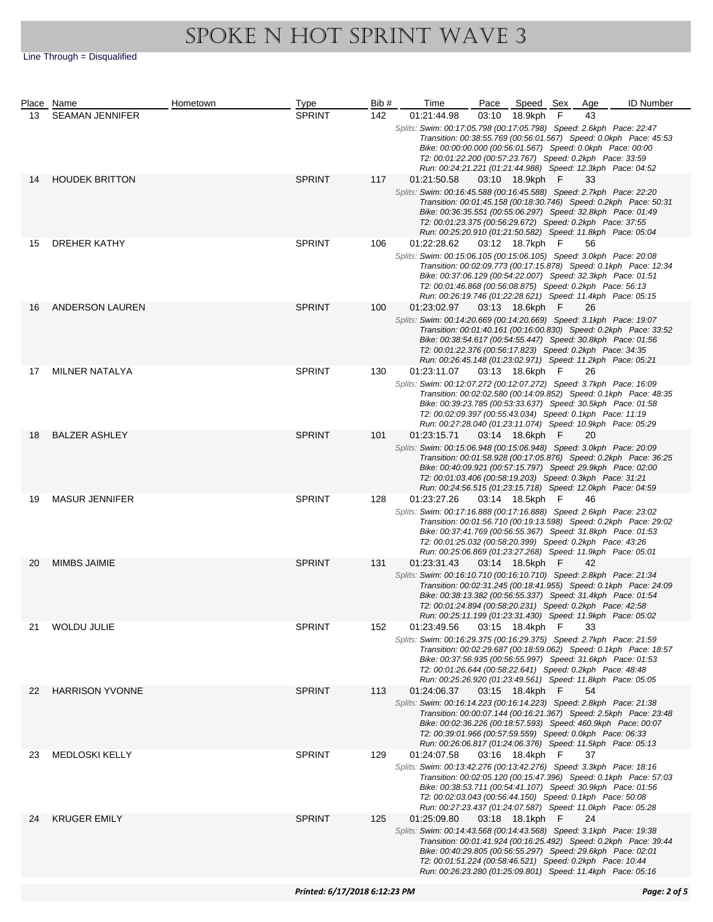|    | Place Name             | Hometown | Type                 | Bib#        | Time                                                                                                                      | Pace            | Speed Sex       |     | Age                                                                  | <b>ID Number</b>                                                     |
|----|------------------------|----------|----------------------|-------------|---------------------------------------------------------------------------------------------------------------------------|-----------------|-----------------|-----|----------------------------------------------------------------------|----------------------------------------------------------------------|
| 13 | <b>SEAMAN JENNIFER</b> |          | <b>SPRINT</b>        | 142         | 01:21:44.98                                                                                                               |                 | 03:10 18.9kph   | F   | 43                                                                   |                                                                      |
|    |                        |          |                      |             | Splits: Swim: 00:17:05.798 (00:17:05.798) Speed: 2.6kph Pace: 22:47                                                       |                 |                 |     |                                                                      |                                                                      |
|    |                        |          |                      |             |                                                                                                                           |                 |                 |     |                                                                      | Transition: 00:38:55.769 (00:56:01.567) Speed: 0.0kph Pace: 45:53    |
|    |                        |          |                      |             | Bike: 00:00:00.000 (00:56:01.567) Speed: 0.0kph Pace: 00:00                                                               |                 |                 |     |                                                                      |                                                                      |
|    |                        |          |                      |             | T2: 00:01:22.200 (00:57:23.767) Speed: 0.2kph Pace: 33:59                                                                 |                 |                 |     |                                                                      |                                                                      |
|    | <b>HOUDEK BRITTON</b>  |          | <b>SPRINT</b>        |             | Run: 00:24:21.221 (01:21:44.988) Speed: 12.3kph Pace: 04:52                                                               |                 |                 |     |                                                                      |                                                                      |
| 14 |                        |          |                      | 117         | 01:21:50.58                                                                                                               |                 | 03:10 18.9kph F |     | 33                                                                   |                                                                      |
|    |                        |          |                      |             | Splits: Swim: 00:16:45.588 (00:16:45.588) Speed: 2.7kph Pace: 22:20                                                       |                 |                 |     |                                                                      | Transition: 00:01:45.158 (00:18:30.746) Speed: 0.2kph Pace: 50:31    |
|    |                        |          |                      |             | Bike: 00:36:35.551 (00:55:06.297) Speed: 32.8kph Pace: 01:49                                                              |                 |                 |     |                                                                      |                                                                      |
|    |                        |          |                      |             | T2: 00:01:23.375 (00:56:29.672) Speed: 0.2kph Pace: 37:55                                                                 |                 |                 |     |                                                                      |                                                                      |
|    |                        |          |                      |             | Run: 00:25:20.910 (01:21:50.582) Speed: 11.8kph Pace: 05:04                                                               |                 |                 |     |                                                                      |                                                                      |
| 15 | DREHER KATHY           |          | <b>SPRINT</b>        | 106         | 01:22:28.62                                                                                                               |                 | 03:12 18.7kph   | - F | 56                                                                   |                                                                      |
|    |                        |          |                      |             | Splits: Swim: 00:15:06.105 (00:15:06.105) Speed: 3.0kph Pace: 20:08                                                       |                 |                 |     |                                                                      |                                                                      |
|    |                        |          |                      |             |                                                                                                                           |                 |                 |     |                                                                      | Transition: 00:02:09.773 (00:17:15.878) Speed: 0.1kph Pace: 12:34    |
|    |                        |          |                      |             | Bike: 00:37:06.129 (00:54:22.007) Speed: 32.3kph Pace: 01:51                                                              |                 |                 |     |                                                                      |                                                                      |
|    |                        |          |                      |             | T2: 00:01:46.868 (00:56:08.875) Speed: 0.2kph Pace: 56:13<br>Run: 00:26:19.746 (01:22:28.621) Speed: 11.4kph Pace: 05:15  |                 |                 |     |                                                                      |                                                                      |
| 16 | ANDERSON LAUREN        |          | <b>SPRINT</b>        | 100         | 01:23:02.97                                                                                                               |                 | 03:13 18.6kph   | F   | 26                                                                   |                                                                      |
|    |                        |          |                      |             | Splits: Swim: 00:14:20.669 (00:14:20.669) Speed: 3.1kph Pace: 19:07                                                       |                 |                 |     |                                                                      |                                                                      |
|    |                        |          |                      |             |                                                                                                                           |                 |                 |     |                                                                      | Transition: 00:01:40.161 (00:16:00.830) Speed: 0.2kph    Pace: 33:52 |
|    |                        |          |                      |             | Bike: 00:38:54.617 (00:54:55.447) Speed: 30.8kph Pace: 01:56                                                              |                 |                 |     |                                                                      |                                                                      |
|    |                        |          |                      |             | T2: 00:01:22.376 (00:56:17.823) Speed: 0.2kph Pace: 34:35                                                                 |                 |                 |     |                                                                      |                                                                      |
|    |                        |          |                      |             | Run: 00:26:45.148 (01:23:02.971) Speed: 11.2kph Pace: 05:21                                                               |                 |                 |     |                                                                      |                                                                      |
| 17 | <b>MILNER NATALYA</b>  |          | <b>SPRINT</b>        | 130         | 01:23:11.07                                                                                                               |                 | 03:13 18.6kph F |     | 26                                                                   |                                                                      |
|    |                        |          |                      |             | Splits: Swim: 00:12:07.272 (00:12:07.272) Speed: 3.7kph    Pace: 16:09                                                    |                 |                 |     |                                                                      |                                                                      |
|    |                        |          |                      |             |                                                                                                                           |                 |                 |     |                                                                      | Transition: 00:02:02.580 (00:14:09.852) Speed: 0.1kph Pace: 48:35    |
|    |                        |          |                      |             | Bike: 00:39:23.785 (00:53:33.637) Speed: 30.5kph Pace: 01:58<br>T2: 00:02:09.397 (00:55:43.034) Speed: 0.1kph Pace: 11:19 |                 |                 |     |                                                                      |                                                                      |
|    |                        |          |                      |             | Run: 00:27:28.040 (01:23:11.074) Speed: 10.9kph Pace: 05:29                                                               |                 |                 |     |                                                                      |                                                                      |
| 18 | <b>BALZER ASHLEY</b>   |          | <b>SPRINT</b>        | 101         | 01:23:15.71                                                                                                               |                 | 03:14 18.6kph   | - F | 20                                                                   |                                                                      |
|    |                        |          |                      |             | Splits: Swim: 00:15:06.948 (00:15:06.948) Speed: 3.0kph Pace: 20:09                                                       |                 |                 |     |                                                                      |                                                                      |
|    |                        |          |                      |             |                                                                                                                           |                 |                 |     |                                                                      | Transition: 00:01:58.928 (00:17:05.876) Speed: 0.2kph    Pace: 36:25 |
|    |                        |          |                      |             | Bike: 00:40:09.921 (00:57:15.797) Speed: 29.9kph Pace: 02:00                                                              |                 |                 |     |                                                                      |                                                                      |
|    |                        |          |                      |             | T2: 00:01:03.406 (00:58:19.203) Speed: 0.3kph Pace: 31:21                                                                 |                 |                 |     |                                                                      |                                                                      |
|    |                        |          |                      |             | Run: 00:24:56.515 (01:23:15.718) Speed: 12.0kph Pace: 04:59                                                               |                 |                 |     |                                                                      |                                                                      |
| 19 | <b>MASUR JENNIFER</b>  |          | <b>SPRINT</b>        | 128         | 01:23:27.26                                                                                                               |                 | 03:14 18.5kph F |     | 46                                                                   |                                                                      |
|    |                        |          |                      |             | Splits: Swim: 00:17:16.888 (00:17:16.888) Speed: 2.6kph Pace: 23:02                                                       |                 |                 |     |                                                                      |                                                                      |
|    |                        |          |                      |             |                                                                                                                           |                 |                 |     |                                                                      | Transition: 00:01:56.710 (00:19:13.598) Speed: 0.2kph Pace: 29:02    |
|    |                        |          |                      |             | Bike: 00:37:41.769 (00:56:55.367) Speed: 31.8kph Pace: 01:53<br>T2: 00:01:25.032 (00:58:20.399) Speed: 0.2kph Pace: 43:26 |                 |                 |     |                                                                      |                                                                      |
|    |                        |          |                      |             | Run: 00:25:06.869 (01:23:27.268) Speed: 11.9kph Pace: 05:01                                                               |                 |                 |     |                                                                      |                                                                      |
| 20 | <b>MIMBS JAIMIE</b>    |          | <b>SPRINT</b>        | 131         | 01:23:31.43                                                                                                               |                 | 03:14 18.5kph F |     | 42                                                                   |                                                                      |
|    |                        |          |                      |             | Splits: Swim: 00:16:10.710 (00:16:10.710) Speed: 2.8kph Pace: 21:34                                                       |                 |                 |     |                                                                      |                                                                      |
|    |                        |          |                      |             |                                                                                                                           |                 |                 |     |                                                                      | Transition: 00:02:31.245 (00:18:41.955) Speed: 0.1kph Pace: 24:09    |
|    |                        |          |                      |             | Bike: 00:38:13.382 (00:56:55.337) Speed: 31.4kph Pace: 01:54                                                              |                 |                 |     |                                                                      |                                                                      |
|    |                        |          |                      |             | T2: 00:01:24.894 (00:58:20.231) Speed: 0.2kph Pace: 42:58                                                                 |                 |                 |     |                                                                      |                                                                      |
|    |                        |          |                      |             | Run: 00:25:11.199 (01:23:31.430) Speed: 11.9kph Pace: 05:02                                                               |                 |                 |     |                                                                      |                                                                      |
| 21 | <b>WOLDU JULIE</b>     |          | 152<br><b>SPRINT</b> |             | 01:23:49.56                                                                                                               |                 | 03:15 18.4kph F |     | 33                                                                   |                                                                      |
|    |                        |          |                      |             | Splits: Swim: 00:16:29.375 (00:16:29.375) Speed: 2.7kph Pace: 21:59                                                       |                 |                 |     |                                                                      | Transition: 00:02:29.687 (00:18:59.062) Speed: 0.1kph Pace: 18:57    |
|    |                        |          |                      |             | Bike: 00:37:56.935 (00:56:55.997) Speed: 31.6kph Pace: 01:53                                                              |                 |                 |     |                                                                      |                                                                      |
|    |                        |          |                      |             | T2: 00:01:26.644 (00:58:22.641) Speed: 0.2kph Pace: 48:48                                                                 |                 |                 |     |                                                                      |                                                                      |
|    |                        |          |                      |             | Run: 00:25:26.920 (01:23:49.561) Speed: 11.8kph Pace: 05:05                                                               |                 |                 |     |                                                                      |                                                                      |
| 22 | <b>HARRISON YVONNE</b> |          | <b>SPRINT</b>        | 113         | 01:24:06.37                                                                                                               |                 | 03:15 18.4kph   | - F | 54                                                                   |                                                                      |
|    |                        |          |                      |             | Splits: Swim: 00:16:14.223 (00:16:14.223) Speed: 2.8kph Pace: 21:38                                                       |                 |                 |     |                                                                      |                                                                      |
|    |                        |          |                      |             |                                                                                                                           |                 |                 |     |                                                                      | Transition: 00:00:07.144 (00:16:21.367) Speed: 2.5kph Pace: 23:48    |
|    |                        |          |                      |             |                                                                                                                           |                 |                 |     |                                                                      | Bike: 00:02:36.226 (00:18:57.593) Speed: 460.9kph Pace: 00:07        |
|    |                        |          |                      |             | T2: 00:39:01.966 (00:57:59.559) Speed: 0.0kph Pace: 06:33                                                                 |                 |                 |     |                                                                      |                                                                      |
|    |                        |          |                      |             | Run: 00:26:06.817 (01:24:06.376) Speed: 11.5kph Pace: 05:13                                                               |                 |                 |     |                                                                      |                                                                      |
| 23 | <b>MEDLOSKI KELLY</b>  |          | <b>SPRINT</b>        | 129         | 01:24:07.58<br>Splits: Swim: 00:13:42.276 (00:13:42.276) Speed: 3.3kph    Pace: 18:16                                     |                 | 03:16 18.4kph F |     | 37                                                                   |                                                                      |
|    |                        |          |                      |             |                                                                                                                           |                 |                 |     |                                                                      | Transition: 00:02:05.120 (00:15:47.396) Speed: 0.1kph Pace: 57:03    |
|    |                        |          |                      |             | Bike: 00:38:53.711 (00:54:41.107) Speed: 30.9kph Pace: 01:56                                                              |                 |                 |     |                                                                      |                                                                      |
|    |                        |          |                      |             | T2: 00:02:03.043 (00:56:44.150) Speed: 0.1kph Pace: 50:08                                                                 |                 |                 |     |                                                                      |                                                                      |
|    |                        |          |                      |             | Run: 00:27:23.437 (01:24:07.587) Speed: 11.0kph Pace: 05:28                                                               |                 |                 |     |                                                                      |                                                                      |
| 24 | <b>KRUGER EMILY</b>    |          | <b>SPRINT</b><br>125 | 01:25:09.80 |                                                                                                                           | 03:18 18.1kph F |                 | 24  |                                                                      |                                                                      |
|    |                        |          |                      |             | Splits: Swim: 00:14:43.568 (00:14:43.568) Speed: 3.1kph Pace: 19:38                                                       |                 |                 |     |                                                                      |                                                                      |
|    |                        |          |                      |             |                                                                                                                           |                 |                 |     | Transition: 00:01:41.924 (00:16:25.492) Speed: 0.2kph    Pace: 39:44 |                                                                      |
|    |                        |          |                      |             | Bike: 00:40:29.805 (00:56:55.297) Speed: 29.6kph Pace: 02:01<br>T2: 00:01:51.224 (00:58:46.521) Speed: 0.2kph Pace: 10:44 |                 |                 |     |                                                                      |                                                                      |
|    |                        |          |                      |             | Run: 00:26:23.280 (01:25:09.801) Speed: 11.4kph Pace: 05:16                                                               |                 |                 |     |                                                                      |                                                                      |
|    |                        |          |                      |             |                                                                                                                           |                 |                 |     |                                                                      |                                                                      |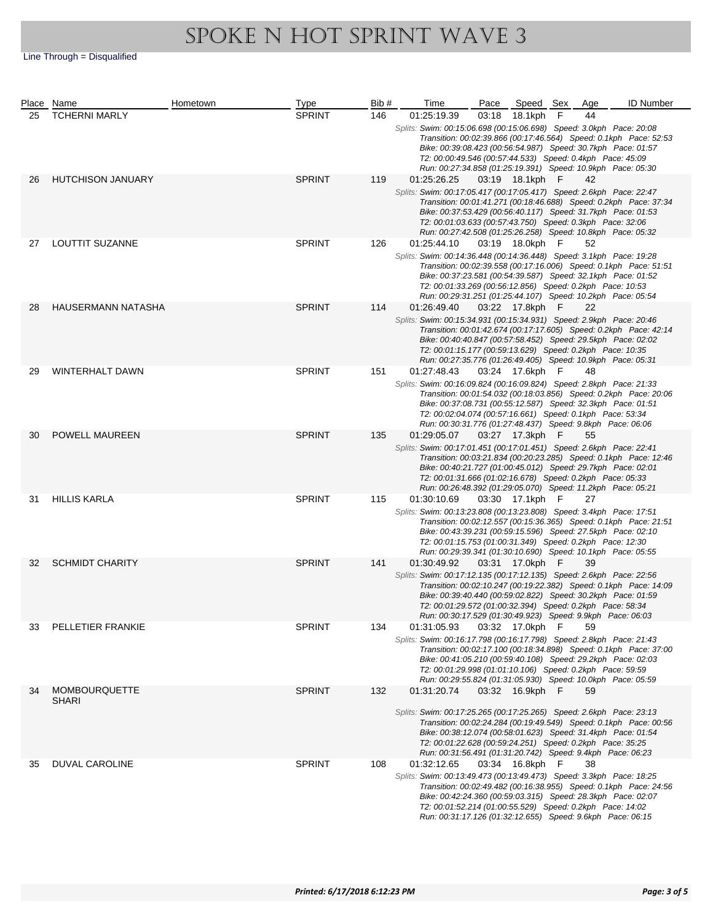|    | Place Name                           | Hometown | <b>Type</b>   | Bib# | Time                                                                                                                                                                                                                                                                           | Pace | Speed Sex       |     | Age | <b>ID Number</b>                                                     |
|----|--------------------------------------|----------|---------------|------|--------------------------------------------------------------------------------------------------------------------------------------------------------------------------------------------------------------------------------------------------------------------------------|------|-----------------|-----|-----|----------------------------------------------------------------------|
| 25 | <b>TCHERNI MARLY</b>                 |          | <b>SPRINT</b> | 146  | 01:25:19.39<br>Splits: Swim: 00:15:06.698 (00:15:06.698) Speed: 3.0kph Pace: 20:08<br>Bike: 00:39:08.423 (00:56:54.987) Speed: 30.7kph Pace: 01:57<br>T2: 00:00:49.546 (00:57:44.533) Speed: 0.4kph Pace: 45:09<br>Run: 00:27:34.858 (01:25:19.391) Speed: 10.9kph Pace: 05:30 |      | 03:18 18.1kph   | F   | 44  | Transition: 00:02:39.866 (00:17:46.564) Speed: 0.1kph Pace: 52:53    |
| 26 | <b>HUTCHISON JANUARY</b>             |          | <b>SPRINT</b> | 119  | 01:25:26.25<br>Splits: Swim: 00:17:05.417 (00:17:05.417) Speed: 2.6kph Pace: 22:47<br>Bike: 00:37:53.429 (00:56:40.117) Speed: 31.7kph Pace: 01:53<br>T2: 00:01:03.633 (00:57:43.750) Speed: 0.3kph Pace: 32:06<br>Run: 00:27:42.508 (01:25:26.258) Speed: 10.8kph Pace: 05:32 |      | 03:19 18.1kph F |     | 42  | Transition: 00:01:41.271 (00:18:46.688) Speed: 0.2kph    Pace: 37:34 |
| 27 | LOUTTIT SUZANNE                      |          | <b>SPRINT</b> | 126  | 01:25:44.10<br>Splits: Swim: 00:14:36.448 (00:14:36.448) Speed: 3.1kph Pace: 19:28<br>Bike: 00:37:23.581 (00:54:39.587) Speed: 32.1kph Pace: 01:52<br>T2: 00:01:33.269 (00:56:12.856) Speed: 0.2kph Pace: 10:53<br>Run: 00:29:31.251 (01:25:44.107) Speed: 10.2kph Pace: 05:54 |      | 03:19 18.0kph   | - F | 52  | Transition: 00:02:39.558 (00:17:16.006) Speed: 0.1kph Pace: 51:51    |
| 28 | HAUSERMANN NATASHA                   |          | <b>SPRINT</b> | 114  | 01:26:49.40<br>Splits: Swim: 00:15:34.931 (00:15:34.931) Speed: 2.9kph Pace: 20:46<br>Bike: 00:40:40.847 (00:57:58.452) Speed: 29.5kph Pace: 02:02<br>T2: 00:01:15.177 (00:59:13.629) Speed: 0.2kph Pace: 10:35<br>Run: 00:27:35.776 (01:26:49.405) Speed: 10.9kph Pace: 05:31 |      | 03:22 17.8kph   | - F | 22  | Transition: 00:01:42.674 (00:17:17.605) Speed: 0.2kph    Pace: 42:14 |
| 29 | WINTERHALT DAWN                      |          | <b>SPRINT</b> | 151  | 01:27:48.43<br>Splits: Swim: 00:16:09.824 (00:16:09.824) Speed: 2.8kph Pace: 21:33<br>Bike: 00:37:08.731 (00:55:12.587) Speed: 32.3kph Pace: 01:51<br>T2: 00:02:04.074 (00:57:16.661) Speed: 0.1kph Pace: 53:34<br>Run: 00:30:31.776 (01:27:48.437) Speed: 9.8kph Pace: 06:06  |      | 03:24 17.6kph F |     | 48  | Transition: 00:01:54.032 (00:18:03.856) Speed: 0.2kph Pace: 20:06    |
| 30 | POWELL MAUREEN                       |          | <b>SPRINT</b> | 135  | 01:29:05.07<br>Splits: Swim: 00:17:01.451 (00:17:01.451) Speed: 2.6kph Pace: 22:41<br>Bike: 00:40:21.727 (01:00:45.012) Speed: 29.7kph Pace: 02:01<br>T2: 00:01:31.666 (01:02:16.678) Speed: 0.2kph Pace: 05:33<br>Run: 00:26:48.392 (01:29:05.070) Speed: 11.2kph Pace: 05:21 |      | 03:27 17.3kph   | - F | 55  | Transition: 00:03:21.834 (00:20:23.285) Speed: 0.1kph Pace: 12:46    |
| 31 | <b>HILLIS KARLA</b>                  |          | <b>SPRINT</b> | 115  | 01:30:10.69<br>Splits: Swim: 00:13:23.808 (00:13:23.808) Speed: 3.4kph Pace: 17:51<br>Bike: 00:43:39.231 (00:59:15.596) Speed: 27.5kph Pace: 02:10<br>T2: 00:01:15.753 (01:00:31.349) Speed: 0.2kph Pace: 12:30<br>Run: 00:29:39.341 (01:30:10.690) Speed: 10.1kph Pace: 05:55 |      | 03:30 17.1kph F |     | 27  | Transition: 00:02:12.557 (00:15:36.365) Speed: 0.1kph Pace: 21:51    |
| 32 | <b>SCHMIDT CHARITY</b>               |          | <b>SPRINT</b> | 141  | 01:30:49.92<br>Splits: Swim: 00:17:12.135 (00:17:12.135) Speed: 2.6kph Pace: 22:56<br>Bike: 00:39:40.440 (00:59:02.822) Speed: 30.2kph Pace: 01:59<br>T2: 00:01:29.572 (01:00:32.394) Speed: 0.2kph Pace: 58:34<br>Run: 00:30:17.529 (01:30:49.923) Speed: 9.9kph Pace: 06:03  |      | 03:31 17.0kph F |     | 39  | Transition: 00:02:10.247 (00:19:22.382) Speed: 0.1kph Pace: 14:09    |
| 33 | PELLETIER FRANKIE                    |          | SPRINT        | 134  | 01:31:05.93<br>Splits: Swim: 00:16:17.798 (00:16:17.798) Speed: 2.8kph Pace: 21:43<br>Bike: 00:41:05.210 (00:59:40.108) Speed: 29.2kph Pace: 02:03<br>T2: 00:01:29.998 (01:01:10.106) Speed: 0.2kph Pace: 59:59<br>Run: 00:29:55.824 (01:31:05.930) Speed: 10.0kph Pace: 05:59 |      | 03:32 17.0kph F |     | 59  | Transition: 00:02:17.100 (00:18:34.898) Speed: 0.1kph Pace: 37:00    |
| 34 | <b>MOMBOURQUETTE</b><br><b>SHARI</b> |          | <b>SPRINT</b> | 132  | 01:31:20.74<br>Splits: Swim: 00:17:25.265 (00:17:25.265) Speed: 2.6kph Pace: 23:13<br>Bike: 00:38:12.074 (00:58:01.623) Speed: 31.4kph Pace: 01:54<br>T2: 00:01:22.628 (00:59:24.251) Speed: 0.2kph Pace: 35:25<br>Run: 00:31:56.491 (01:31:20.742) Speed: 9.4kph Pace: 06:23  |      | 03:32 16.9kph F |     | 59  | Transition: 00:02:24.284 (00:19:49.549) Speed: 0.1kph Pace: 00:56    |
| 35 | <b>DUVAL CAROLINE</b>                |          | <b>SPRINT</b> | 108  | 01:32:12.65<br>Splits: Swim: 00:13:49.473 (00:13:49.473) Speed: 3.3kph Pace: 18:25<br>Bike: 00:42:24.360 (00:59:03.315) Speed: 28.3kph Pace: 02:07<br>T2: 00:01:52.214 (01:00:55.529) Speed: 0.2kph Pace: 14:02<br>Run: 00:31:17.126 (01:32:12.655) Speed: 9.6kph Pace: 06:15  |      | 03:34 16.8kph   | -F  | 38  | Transition: 00:02:49.482 (00:16:38.955) Speed: 0.1kph    Pace: 24:56 |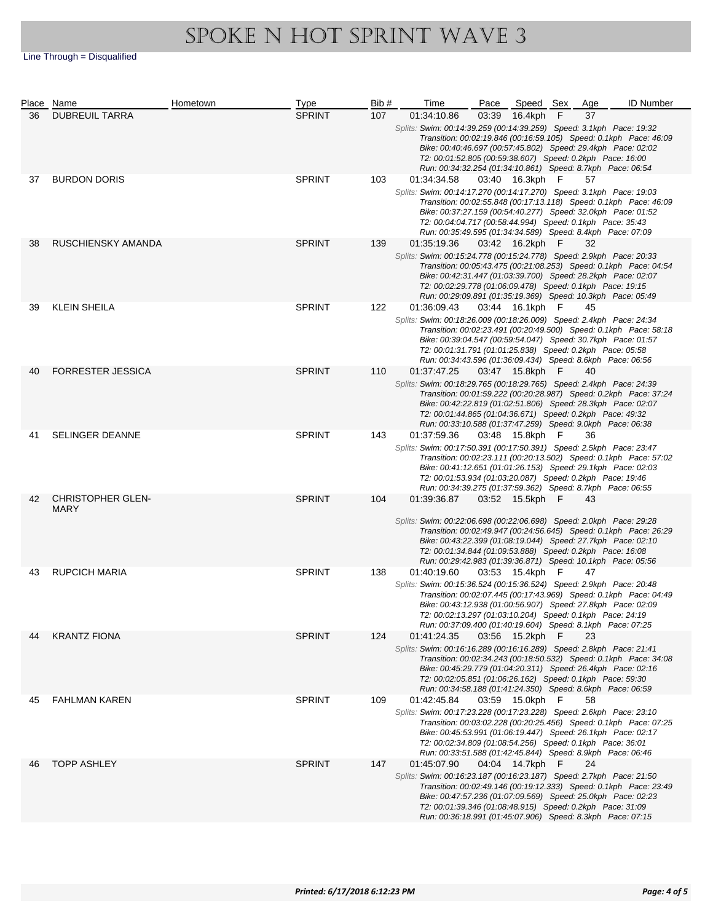|    | Place Name                       | Hometown | Type          | Bib# | Time                                                                                                                                                                                                                                                                           | Pace  | Speed Sex       |     | Age | <b>ID Number</b>                                                  |
|----|----------------------------------|----------|---------------|------|--------------------------------------------------------------------------------------------------------------------------------------------------------------------------------------------------------------------------------------------------------------------------------|-------|-----------------|-----|-----|-------------------------------------------------------------------|
| 36 | <b>DUBREUIL TARRA</b>            |          | <b>SPRINT</b> | 107  | 01:34:10.86<br>Splits: Swim: 00:14:39.259 (00:14:39.259) Speed: 3.1kph Pace: 19:32<br>Bike: 00:40:46.697 (00:57:45.802) Speed: 29.4kph Pace: 02:02<br>T2: 00:01:52.805 (00:59:38.607) Speed: 0.2kph Pace: 16:00<br>Run: 00:34:32.254 (01:34:10.861) Speed: 8.7kph Pace: 06:54  | 03:39 | 16.4kph         | F   | 37  | Transition: 00:02:19.846 (00:16:59.105) Speed: 0.1kph Pace: 46:09 |
| 37 | <b>BURDON DORIS</b>              |          | <b>SPRINT</b> | 103  | 01:34:34.58<br>Splits: Swim: 00:14:17.270 (00:14:17.270) Speed: 3.1kph Pace: 19:03<br>Bike: 00:37:27.159 (00:54:40.277) Speed: 32.0kph Pace: 01:52<br>T2: 00:04:04.717 (00:58:44.994) Speed: 0.1kph Pace: 35:43<br>Run: 00:35:49.595 (01:34:34.589) Speed: 8.4kph Pace: 07:09  |       | 03:40 16.3kph F |     | 57  | Transition: 00:02:55.848 (00:17:13.118) Speed: 0.1kph Pace: 46:09 |
| 38 | RUSCHIENSKY AMANDA               |          | <b>SPRINT</b> | 139  | 01:35:19.36<br>Splits: Swim: 00:15:24.778 (00:15:24.778) Speed: 2.9kph Pace: 20:33<br>Bike: 00:42:31.447 (01:03:39.700) Speed: 28.2kph Pace: 02:07<br>T2: 00:02:29.778 (01:06:09.478) Speed: 0.1kph Pace: 19:15<br>Run: 00:29:09.891 (01:35:19.369) Speed: 10.3kph Pace: 05:49 |       | 03:42 16.2kph F |     | 32  | Transition: 00:05:43.475 (00:21:08.253) Speed: 0.1kph Pace: 04:54 |
| 39 | <b>KLEIN SHEILA</b>              |          | <b>SPRINT</b> | 122  | 01:36:09.43<br>Splits: Swim: 00:18:26.009 (00:18:26.009) Speed: 2.4kph Pace: 24:34<br>Bike: 00:39:04.547 (00:59:54.047) Speed: 30.7kph Pace: 01:57<br>T2: 00:01:31.791 (01:01:25.838) Speed: 0.2kph Pace: 05:58<br>Run: 00:34:43.596 (01:36:09.434) Speed: 8.6kph Pace: 06:56  |       | 03:44 16.1kph F |     | 45  | Transition: 00:02:23.491 (00:20:49.500) Speed: 0.1kph Pace: 58:18 |
| 40 | <b>FORRESTER JESSICA</b>         |          | <b>SPRINT</b> | 110  | 01:37:47.25<br>Splits: Swim: 00:18:29.765 (00:18:29.765) Speed: 2.4kph Pace: 24:39<br>Bike: 00:42:22.819 (01:02:51.806) Speed: 28.3kph Pace: 02:07<br>T2: 00:01:44.865 (01:04:36.671) Speed: 0.2kph Pace: 49:32<br>Run: 00:33:10.588 (01:37:47.259) Speed: 9.0kph Pace: 06:38  |       | 03:47 15.8kph F |     | 40  | Transition: 00:01:59.222 (00:20:28.987) Speed: 0.2kph Pace: 37:24 |
| 41 | <b>SELINGER DEANNE</b>           |          | <b>SPRINT</b> | 143  | 01:37:59.36<br>Splits: Swim: 00:17:50.391 (00:17:50.391) Speed: 2.5kph Pace: 23:47<br>Bike: 00:41:12.651 (01:01:26.153) Speed: 29.1kph Pace: 02:03<br>T2: 00:01:53.934 (01:03:20.087) Speed: 0.2kph Pace: 19:46<br>Run: 00:34:39.275 (01:37:59.362) Speed: 8.7kph Pace: 06:55  |       | 03:48 15.8kph F |     | 36  | Transition: 00:02:23.111 (00:20:13.502) Speed: 0.1kph Pace: 57:02 |
| 42 | <b>CHRISTOPHER GLEN-</b><br>MARY |          | <b>SPRINT</b> | 104  | 01:39:36.87<br>Splits: Swim: 00:22:06.698 (00:22:06.698) Speed: 2.0kph Pace: 29:28<br>Bike: 00:43:22.399 (01:08:19.044) Speed: 27.7kph Pace: 02:10<br>T2: 00:01:34.844 (01:09:53.888) Speed: 0.2kph Pace: 16:08<br>Run: 00:29:42.983 (01:39:36.871) Speed: 10.1kph Pace: 05:56 |       | 03:52 15.5kph F |     | 43  | Transition: 00:02:49.947 (00:24:56.645) Speed: 0.1kph Pace: 26:29 |
| 43 | <b>RUPCICH MARIA</b>             |          | <b>SPRINT</b> | 138  | 01:40:19.60<br>Splits: Swim: 00:15:36.524 (00:15:36.524) Speed: 2.9kph Pace: 20:48<br>Bike: 00:43:12.938 (01:00:56.907) Speed: 27.8kph Pace: 02:09<br>T2: 00:02:13.297 (01:03:10.204) Speed: 0.1kph Pace: 24:19<br>Run: 00:37:09.400 (01:40:19.604) Speed: 8.1kph Pace: 07:25  |       | 03:53 15.4kph   | - F | 47  | Transition: 00:02:07.445 (00:17:43.969) Speed: 0.1kph Pace: 04:49 |
| 44 | <b>KRANTZ FIONA</b>              |          | <b>SPRINT</b> | 124  | 01:41:24.35<br>Splits: Swim: 00:16:16.289 (00:16:16.289) Speed: 2.8kph Pace: 21:41<br>Bike: 00:45:29.779 (01:04:20.311) Speed: 26.4kph Pace: 02:16<br>T2: 00:02:05.851 (01:06:26.162) Speed: 0.1kph Pace: 59:30<br>Run: 00:34:58.188 (01:41:24.350) Speed: 8.6kph Pace: 06:59  | 03:56 | 15.2kph         | - F | 23  | Transition: 00:02:34.243 (00:18:50.532) Speed: 0.1kph Pace: 34:08 |
| 45 | <b>FAHLMAN KAREN</b>             |          | <b>SPRINT</b> | 109  | 01:42:45.84<br>Splits: Swim: 00:17:23.228 (00:17:23.228) Speed: 2.6kph Pace: 23:10<br>Bike: 00:45:53.991 (01:06:19.447) Speed: 26.1kph Pace: 02:17<br>T2: 00:02:34.809 (01:08:54.256) Speed: 0.1kph Pace: 36:01<br>Run: 00:33:51.588 (01:42:45.844) Speed: 8.9kph Pace: 06:46  |       | 03:59 15.0kph F |     | 58  | Transition: 00:03:02.228 (00:20:25.456) Speed: 0.1kph Pace: 07:25 |
| 46 | <b>TOPP ASHLEY</b>               |          | <b>SPRINT</b> | 147  | 01:45:07.90<br>Splits: Swim: 00:16:23.187 (00:16:23.187) Speed: 2.7kph Pace: 21:50<br>Bike: 00:47:57.236 (01:07:09.569) Speed: 25.0kph Pace: 02:23<br>T2: 00:01:39.346 (01:08:48.915) Speed: 0.2kph Pace: 31:09<br>Run: 00:36:18.991 (01:45:07.906) Speed: 8.3kph Pace: 07:15  |       | 04:04 14.7kph   | - F | 24  | Transition: 00:02:49.146 (00:19:12.333) Speed: 0.1kph Pace: 23:49 |